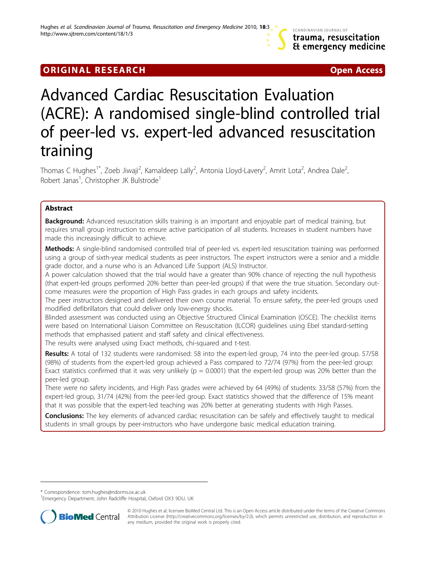# **ORIGINAL RESEARCH CONSUMING ACCESS**



# Advanced Cardiac Resuscitation Evaluation (ACRE): A randomised single-blind controlled trial of peer-led vs. expert-led advanced resuscitation training

Thomas C Hughes<sup>1\*</sup>, Zoeb Jiwaji<sup>2</sup>, Kamaldeep Lally<sup>2</sup>, Antonia Lloyd-Lavery<sup>2</sup>, Amrit Lota<sup>2</sup>, Andrea Dale<sup>2</sup> .<br>, Robert Janas<sup>1</sup>, Christopher JK Bulstrode<sup>1</sup>

# Abstract

Background: Advanced resuscitation skills training is an important and enjoyable part of medical training, but requires small group instruction to ensure active participation of all students. Increases in student numbers have made this increasingly difficult to achieve.

Methods: A single-blind randomised controlled trial of peer-led vs. expert-led resuscitation training was performed using a group of sixth-year medical students as peer instructors. The expert instructors were a senior and a middle grade doctor, and a nurse who is an Advanced Life Support (ALS) Instructor.

A power calculation showed that the trial would have a greater than 90% chance of rejecting the null hypothesis (that expert-led groups performed 20% better than peer-led groups) if that were the true situation. Secondary outcome measures were the proportion of High Pass grades in each groups and safety incidents.

The peer instructors designed and delivered their own course material. To ensure safety, the peer-led groups used modified defibrillators that could deliver only low-energy shocks.

Blinded assessment was conducted using an Objective Structured Clinical Examination (OSCE). The checklist items were based on International Liaison Committee on Resuscitation (ILCOR) guidelines using Ebel standard-setting methods that emphasised patient and staff safety and clinical effectiveness.

The results were analysed using Exact methods, chi-squared and t-test.

Results: A total of 132 students were randomised: 58 into the expert-led group, 74 into the peer-led group. 57/58 (98%) of students from the expert-led group achieved a Pass compared to 72/74 (97%) from the peer-led group: Exact statistics confirmed that it was very unlikely ( $p = 0.0001$ ) that the expert-led group was 20% better than the peer-led group.

There were no safety incidents, and High Pass grades were achieved by 64 (49%) of students: 33/58 (57%) from the expert-led group, 31/74 (42%) from the peer-led group. Exact statistics showed that the difference of 15% meant that it was possible that the expert-led teaching was 20% better at generating students with High Passes.

**Conclusions:** The key elements of advanced cardiac resuscitation can be safely and effectively taught to medical students in small groups by peer-instructors who have undergone basic medical education training.

Correspondence: tom.hughes@ndorms.ox.ac.uk

<sup>&</sup>lt;sup>1</sup> Emergency Department, John Radcliffe Hospital, Oxford OX3 9DU, UK



© 2010 Hughes et al; licensee BioMed Central Ltd. This is an Open Access article distributed under the terms of the Creative Commons Attribution License (http://creativecommons.org/licenses/by/2.0), which permits unrestricted use, distribution, and reproduction in any medium, provided the original work is properly cited.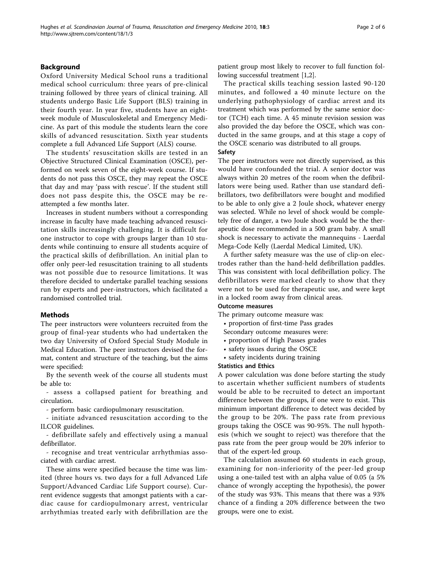# Background

Oxford University Medical School runs a traditional medical school curriculum: three years of pre-clinical training followed by three years of clinical training. All students undergo Basic Life Support (BLS) training in their fourth year. In year five, students have an eightweek module of Musculoskeletal and Emergency Medicine. As part of this module the students learn the core skills of advanced resuscitation. Sixth year students complete a full Advanced Life Support (ALS) course.

The students' resuscitation skills are tested in an Objective Structured Clinical Examination (OSCE), performed on week seven of the eight-week course. If students do not pass this OSCE, they may repeat the OSCE that day and may 'pass with rescue'. If the student still does not pass despite this, the OSCE may be reattempted a few months later.

Increases in student numbers without a corresponding increase in faculty have made teaching advanced resuscitation skills increasingly challenging. It is difficult for one instructor to cope with groups larger than 10 students while continuing to ensure all students acquire of the practical skills of defibrillation. An initial plan to offer only peer-led resuscitation training to all students was not possible due to resource limitations. It was therefore decided to undertake parallel teaching sessions run by experts and peer-instructors, which facilitated a randomised controlled trial.

#### Methods

The peer instructors were volunteers recruited from the group of final-year students who had undertaken the two day University of Oxford Special Study Module in Medical Education. The peer instructors devised the format, content and structure of the teaching, but the aims were specified:

By the seventh week of the course all students must be able to:

- assess a collapsed patient for breathing and circulation.

- perform basic cardiopulmonary resuscitation.

- initiate advanced resuscitation according to the ILCOR guidelines.

- defibrillate safely and effectively using a manual defibrillator.

- recognise and treat ventricular arrhythmias associated with cardiac arrest.

These aims were specified because the time was limited (three hours vs. two days for a full Advanced Life Support/Advanced Cardiac Life Support course). Current evidence suggests that amongst patients with a cardiac cause for cardiopulmonary arrest, ventricular arrhythmias treated early with defibrillation are the

patient group most likely to recover to full function following successful treatment [[1,2\]](#page-5-0).

The practical skills teaching session lasted 90-120 minutes, and followed a 40 minute lecture on the underlying pathophysiology of cardiac arrest and its treatment which was performed by the same senior doctor (TCH) each time. A 45 minute revision session was also provided the day before the OSCE, which was conducted in the same groups, and at this stage a copy of the OSCE scenario was distributed to all groups.

Safety

The peer instructors were not directly supervised, as this would have confounded the trial. A senior doctor was always within 20 metres of the room when the defibrillators were being used. Rather than use standard defibrillators, two defibrillators were bought and modified to be able to only give a 2 Joule shock, whatever energy was selected. While no level of shock would be completely free of danger, a two Joule shock would be the therapeutic dose recommended in a 500 gram baby. A small shock is necessary to activate the mannequins - Laerdal Mega-Code Kelly (Laerdal Medical Limited, UK).

A further safety measure was the use of clip-on electrodes rather than the hand-held defibrillation paddles. This was consistent with local defibrillation policy. The defibrillators were marked clearly to show that they were not to be used for therapeutic use, and were kept in a locked room away from clinical areas.

# Outcome measures

The primary outcome measure was:

- proportion of first-time Pass grades
- Secondary outcome measures were:
- proportion of High Passes grades
- safety issues during the OSCE
- safety incidents during training

# Statistics and Ethics

A power calculation was done before starting the study to ascertain whether sufficient numbers of students would be able to be recruited to detect an important difference between the groups, if one were to exist. This minimum important difference to detect was decided by the group to be 20%. The pass rate from previous groups taking the OSCE was 90-95%. The null hypothesis (which we sought to reject) was therefore that the pass rate from the peer group would be 20% inferior to that of the expert-led group.

The calculation assumed 60 students in each group, examining for non-inferiority of the peer-led group using a one-tailed test with an alpha value of 0.05 (a 5% chance of wrongly accepting the hypothesis), the power of the study was 93%. This means that there was a 93% chance of a finding a 20% difference between the two groups, were one to exist.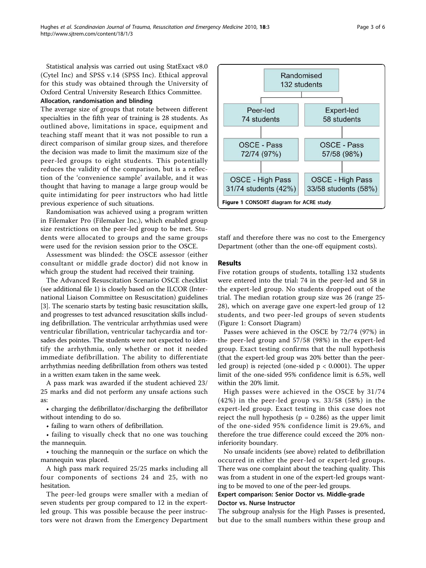Statistical analysis was carried out using StatExact v8.0 (Cytel Inc) and SPSS v.14 (SPSS Inc). Ethical approval for this study was obtained through the University of Oxford Central University Research Ethics Committee.

# Allocation, randomisation and blinding

The average size of groups that rotate between different specialties in the fifth year of training is 28 students. As outlined above, limitations in space, equipment and teaching staff meant that it was not possible to run a direct comparison of similar group sizes, and therefore the decision was made to limit the maximum size of the peer-led groups to eight students. This potentially reduces the validity of the comparison, but is a reflection of the 'convenience sample' available, and it was thought that having to manage a large group would be quite intimidating for peer instructors who had little previous experience of such situations.

Randomisation was achieved using a program written in Filemaker Pro (Filemaker Inc.), which enabled group size restrictions on the peer-led group to be met. Students were allocated to groups and the same groups were used for the revision session prior to the OSCE.

Assessment was blinded: the OSCE assessor (either consultant or middle grade doctor) did not know in which group the student had received their training.

The Advanced Resuscitation Scenario OSCE checklist (see additional file [1](#page-4-0)) is closely based on the ILCOR (International Liaison Committee on Resuscitation) guidelines [[3\]](#page-5-0). The scenario starts by testing basic resuscitation skills, and progresses to test advanced resuscitation skills including defibrillation. The ventricular arrhythmias used were ventricular fibrillation, ventricular tachycardia and torsades des pointes. The students were not expected to identify the arrhythmia, only whether or not it needed immediate defibrillation. The ability to differentiate arrhythmias needing defibrillation from others was tested in a written exam taken in the same week.

A pass mark was awarded if the student achieved 23/ 25 marks and did not perform any unsafe actions such as:

• charging the defibrillator/discharging the defibrillator without intending to do so.

• failing to warn others of defibrillation.

• failing to visually check that no one was touching the mannequin.

• touching the mannequin or the surface on which the mannequin was placed.

A high pass mark required 25/25 marks including all four components of sections 24 and 25, with no hesitation.

The peer-led groups were smaller with a median of seven students per group compared to 12 in the expertled group. This was possible because the peer instructors were not drawn from the Emergency Department



staff and therefore there was no cost to the Emergency Department (other than the one-off equipment costs).

# Results

Five rotation groups of students, totalling 132 students were entered into the trial: 74 in the peer-led and 58 in the expert-led group. No students dropped out of the trial. The median rotation group size was 26 (range 25- 28), which on average gave one expert-led group of 12 students, and two peer-led groups of seven students (Figure 1: Consort Diagram)

Passes were achieved in the OSCE by 72/74 (97%) in the peer-led group and 57/58 (98%) in the expert-led group. Exact testing confirms that the null hypothesis (that the expert-led group was 20% better than the peerled group) is rejected (one-sided  $p < 0.0001$ ). The upper limit of the one-sided 95% confidence limit is 6.5%, well within the 20% limit.

High passes were achieved in the OSCE by 31/74 (42%) in the peer-led group vs. 33/58 (58%) in the expert-led group. Exact testing in this case does not reject the null hypothesis ( $p = 0.286$ ) as the upper limit of the one-sided 95% confidence limit is 29.6%, and therefore the true difference could exceed the 20% noninferiority boundary.

No unsafe incidents (see above) related to defibrillation occurred in either the peer-led or expert-led groups. There was one complaint about the teaching quality. This was from a student in one of the expert-led groups wanting to be moved to one of the peer-led groups.

Expert comparison: Senior Doctor vs. Middle-grade

# Doctor vs. Nurse Instructor

The subgroup analysis for the High Passes is presented, but due to the small numbers within these group and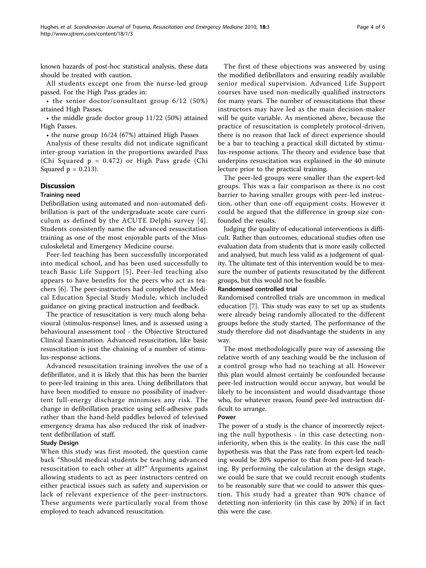known hazards of post-hoc statistical analysis, these data should be treated with caution.

All students except one from the nurse-led group passed. For the High Pass grades in:

• the senior doctor/consultant group 6/12 (50%) attained High Passes.

• the middle grade doctor group 11/22 (50%) attained High Passes.

• the nurse group 16/24 (67%) attained High Passes

Analysis of these results did not indicate significant inter-group variation in the proportions awarded Pass (Chi Squared p = 0.472) or High Pass grade (Chi Squared  $p = 0.213$ ).

# **Discussion**

#### Training need

Defibrillation using automated and non-automated defibrillation is part of the undergraduate acute care curriculum as defined by the ACUTE Delphi survey [[4\]](#page-5-0). Students consistently name the advanced resuscitation training as one of the most enjoyable parts of the Musculoskeletal and Emergency Medicine course.

Peer-led teaching has been successfully incorporated into medical school, and has been used successfully to teach Basic Life Support [[5\]](#page-5-0). Peer-led teaching also appears to have benefits for the peers who act as teachers [[6\]](#page-5-0). The peer-instructors had completed the Medical Education Special Study Module, which included guidance on giving practical instruction and feedback.

The practice of resuscitation is very much along behavioural (stimulus-response) lines, and is assessed using a behavioural assessment tool - the Objective Structured Clinical Examination. Advanced resuscitation, like basic resuscitation is just the chaining of a number of stimulus-response actions.

Advanced resuscitation training involves the use of a defibrillator, and it is likely that this has been the barrier to peer-led training in this area. Using defibrillators that have been modified to ensure no possibility of inadvertent full-energy discharge minimises any risk. The change in defibrillation practice using self-adhesive pads rather than the hand-held paddles beloved of televised emergency drama has also reduced the risk of inadvertent defibrillation of staff.

#### Study Design

When this study was first mooted, the question came back "Should medical students be teaching advanced resuscitation to each other at all?" Arguments against allowing students to act as peer instructors centred on either practical issues such as safety and supervision or lack of relevant experience of the peer-instructors. These arguments were particularly vocal from those employed to teach advanced resuscitation.

The first of these objections was answered by using the modified defibrillators and ensuring readily available senior medical supervision. Advanced Life Support courses have used non-medically qualified instructors for many years. The number of resuscitations that these instructors may have led as the main decision-maker will be quite variable. As mentioned above, because the practice of resuscitation is completely protocol-driven, there is no reason that lack of direct experience should be a bar to teaching a practical skill dictated by stimulus-response actions. The theory and evidence base that underpins resuscitation was explained in the 40 minute lecture prior to the practical training.

The peer-led groups were smaller than the expert-led groups. This was a fair comparison as there is no cost barrier to having smaller groups with peer-led instruction, other than one-off equipment costs. However it could be argued that the difference in group size confounded the results.

Judging the quality of educational interventions is difficult. Rather than outcomes, educational studies often use evaluation data from students that is more easily collected and analysed, but much less valid as a judgement of quality. The ultimate test of this intervention would be to measure the number of patients resuscitated by the different groups, but this would not be feasible.

# Randomised controlled trial

Randomised controlled trials are uncommon in medical education [[7\]](#page-5-0). This study was easy to set up as students were already being randomly allocated to the different groups before the study started. The performance of the study therefore did not disadvantage the students in any way.

The most methodologically pure way of assessing the relative worth of any teaching would be the inclusion of a control group who had no teaching at all. However this plan would almost certainly be confounded because peer-led instruction would occur anyway, but would be likely to be inconsistent and would disadvantage those who, for whatever reason, found peer-led instruction difficult to arrange.

#### Power

The power of a study is the chance of incorrectly rejecting the null hypothesis - in this case detecting noninferiority, when this is the reality. In this case the null hypothesis was that the Pass rate from expert-led teaching would be 20% superior to that from peer-led teaching. By performing the calculation at the design stage, we could be sure that we could recruit enough students to be reasonably sure that we could to answer this question. This study had a greater than 90% chance of detecting non-inferiority (in this case by 20%) if in fact this were the case.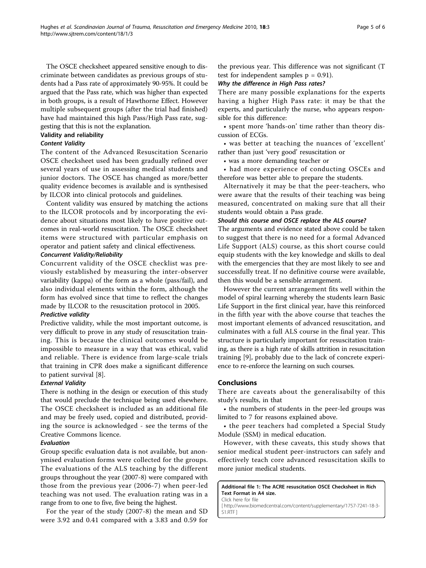<span id="page-4-0"></span>The OSCE checksheet appeared sensitive enough to discriminate between candidates as previous groups of students had a Pass rate of approximately 90-95%. It could be argued that the Pass rate, which was higher than expected in both groups, is a result of Hawthorne Effect. However multiple subsequent groups (after the trial had finished) have had maintained this high Pass/High Pass rate, suggesting that this is not the explanation.

#### Validity and reliability

# Content Validity

The content of the Advanced Resuscitation Scenario OSCE checksheet used has been gradually refined over several years of use in assessing medical students and junior doctors. The OSCE has changed as more/better quality evidence becomes is available and is synthesised by ILCOR into clinical protocols and guidelines.

Content validity was ensured by matching the actions to the ILCOR protocols and by incorporating the evidence about situations most likely to have positive outcomes in real-world resuscitation. The OSCE checksheet items were structured with particular emphasis on operator and patient safety and clinical effectiveness.

#### Concurrent Validity/Reliability

Concurrent validity of the OSCE checklist was previously established by measuring the inter-observer variability (kappa) of the form as a whole (pass/fail), and also individual elements within the form, although the form has evolved since that time to reflect the changes made by ILCOR to the resuscitation protocol in 2005.

### Predictive validity

Predictive validity, while the most important outcome, is very difficult to prove in any study of resuscitation training. This is because the clinical outcomes would be impossible to measure in a way that was ethical, valid and reliable. There is evidence from large-scale trials that training in CPR does make a significant difference to patient survival [\[8](#page-5-0)].

# External Validity

There is nothing in the design or execution of this study that would preclude the technique being used elsewhere. The OSCE checksheet is included as an additional file and may be freely used, copied and distributed, providing the source is acknowledged - see the terms of the Creative Commons licence.

# Evaluation

Group specific evaluation data is not available, but anonymised evaluation forms were collected for the groups. The evaluations of the ALS teaching by the different groups throughout the year (2007-8) were compared with those from the previous year (2006-7) when peer-led teaching was not used. The evaluation rating was in a range from to one to five, five being the highest.

For the year of the study (2007-8) the mean and SD were 3.92 and 0.41 compared with a 3.83 and 0.59 for the previous year. This difference was not significant (T test for independent samples  $p = 0.91$ .

# Why the difference in High Pass rates?

There are many possible explanations for the experts having a higher High Pass rate: it may be that the experts, and particularly the nurse, who appears responsible for this difference:

• spent more 'hands-on' time rather than theory discussion of ECGs.

• was better at teaching the nuances of 'excellent' rather than just 'very good' resuscitation or

• was a more demanding teacher or

• had more experience of conducting OSCEs and therefore was better able to prepare the students.

Alternatively it may be that the peer-teachers, who were aware that the results of their teaching was being measured, concentrated on making sure that all their students would obtain a Pass grade.

#### Should this course and OSCE replace the ALS course?

The arguments and evidence stated above could be taken to suggest that there is no need for a formal Advanced Life Support (ALS) course, as this short course could equip students with the key knowledge and skills to deal with the emergencies that they are most likely to see and successfully treat. If no definitive course were available, then this would be a sensible arrangement.

However the current arrangement fits well within the model of spiral learning whereby the students learn Basic Life Support in the first clinical year, have this reinforced in the fifth year with the above course that teaches the most important elements of advanced resuscitation, and culminates with a full ALS course in the final year. This structure is particularly important for resuscitation training, as there is a high rate of skills attrition in resuscitation training [\[9](#page-5-0)], probably due to the lack of concrete experience to re-enforce the learning on such courses.

# Conclusions

There are caveats about the generalisabilty of this study's results, in that

• the numbers of students in the peer-led groups was limited to 7 for reasons explained above.

• the peer teachers had completed a Special Study Module (SSM) in medical education.

However, with these caveats, this study shows that senior medical student peer-instructors can safely and effectively teach core advanced resuscitation skills to more junior medical students.

Additional file 1: The ACRE resuscitation OSCE Checksheet in Rich Text Format in A4 size. Click here for file

[ http://www.biomedcentral.com/content/supplementary/1757-7241-18-3- S1.RTF ]